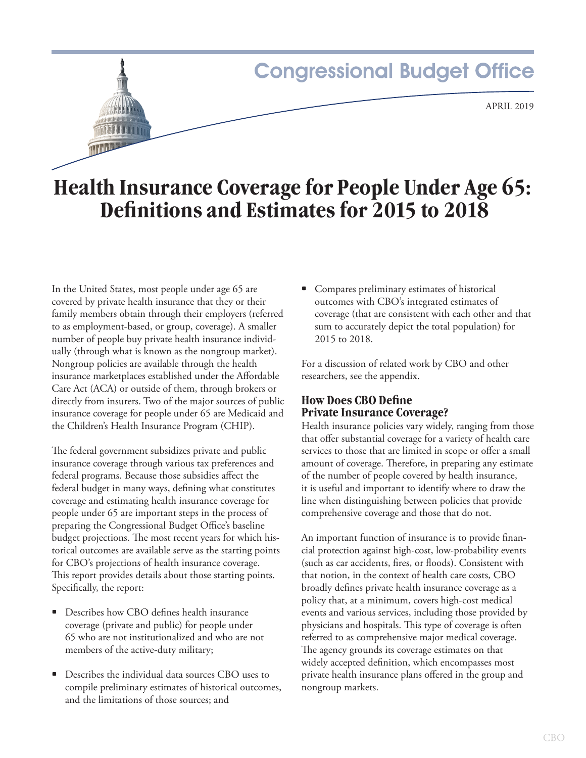# **Congressional Budget Office** APRIL 2019 **Health Insurance Coverage for People Under Age 65:**

 **Definitions and Estimates for 2015 to 2018** 

In the United States, most people under age 65 are covered by private health insurance that they or their family members obtain through their employers (referred to as employment-based, or group, coverage). A smaller number of people buy private health insurance individually (through what is known as the nongroup market). Nongroup policies are available through the health insurance marketplaces established under the Affordable Care Act (ACA) or outside of them, through brokers or directly from insurers. Two of the major sources of public insurance coverage for people under 65 are Medicaid and the Children's Health Insurance Program (CHIP).

The federal government subsidizes private and public insurance coverage through various tax preferences and federal programs. Because those subsidies affect the federal budget in many ways, defining what constitutes coverage and estimating health insurance coverage for people under 65 are important steps in the process of preparing the Congressional Budget Office's baseline budget projections. The most recent years for which historical outcomes are available serve as the starting points for CBO's projections of health insurance coverage. This report provides details about those starting points. Specifically, the report:

- Describes how CBO defines health insurance coverage (private and public) for people under 65 who are not institutionalized and who are not members of the active-duty military;
- Describes the individual data sources CBO uses to compile preliminary estimates of historical outcomes, and the limitations of those sources; and

• Compares preliminary estimates of historical outcomes with CBO's integrated estimates of coverage (that are consistent with each other and that sum to accurately depict the total population) for 2015 to 2018.

For a discussion of related work by CBO and other researchers, see the a[ppendix.](#page-7-0) 

# **How Does CBO Define Private Insurance Coverage?**

Health insurance policies vary widely, ranging from those that offer substantial coverage for a variety of health care services to those that are limited in scope or offer a small amount of coverage. Therefore, in preparing any estimate of the number of people covered by health insurance, it is useful and important to identify where to draw the line when distinguishing between policies that provide comprehensive coverage and those that do not.

An important function of insurance is to provide financial protection against high-cost, low-probability events (such as car accidents, fires, or floods). Consistent with that notion, in the context of health care costs, CBO broadly defines private health insurance coverage as a policy that, at a minimum, covers high-cost medical events and various services, including those provided by physicians and hospitals. This type of coverage is often referred to as comprehensive major medical coverage. The agency grounds its coverage estimates on that widely accepted definition, which encompasses most private health insurance plans offered in the group and nongroup markets.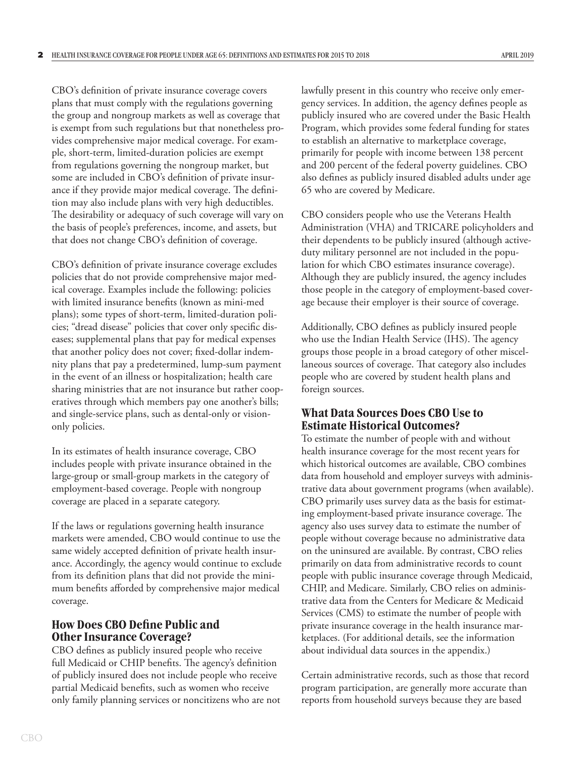CBO's definition of private insurance coverage covers plans that must comply with the regulations governing the group and nongroup markets as well as coverage that is exempt from such regulations but that nonetheless provides comprehensive major medical coverage. For example, short-term, limited-duration policies are exempt from regulations governing the nongroup market, but some are included in CBO's definition of private insurance if they provide major medical coverage. The definition may also include plans with very high deductibles. The desirability or adequacy of such coverage will vary on the basis of people's preferences, income, and assets, but that does not change CBO's definition of coverage.

CBO's definition of private insurance coverage excludes policies that do not provide comprehensive major medical coverage. Examples include the following: policies with limited insurance benefits (known as mini-med plans); some types of short-term, limited-duration policies; "dread disease" policies that cover only specific diseases; supplemental plans that pay for medical expenses that another policy does not cover; fixed-dollar indemnity plans that pay a predetermined, lump-sum payment in the event of an illness or hospitalization; health care sharing ministries that are not insurance but rather cooperatives through which members pay one another's bills; and single-service plans, such as dental-only or visiononly policies.

In its estimates of health insurance coverage, CBO includes people with private insurance obtained in the large-group or small-group markets in the category of employment-based coverage. People with nongroup coverage are placed in a separate category.

If the laws or regulations governing health insurance markets were amended, CBO would continue to use the same widely accepted definition of private health insurance. Accordingly, the agency would continue to exclude from its definition plans that did not provide the minimum benefits afforded by comprehensive major medical coverage.

# **How Does CBO Define Public and Other Insurance Coverage?**

CBO defines as publicly insured people who receive full Medicaid or CHIP benefits. The agency's definition of publicly insured does not include people who receive partial Medicaid benefits, such as women who receive only family planning services or noncitizens who are not lawfully present in this country who receive only emergency services. In addition, the agency defines people as publicly insured who are covered under the Basic Health Program, which provides some federal funding for states to establish an alternative to marketplace coverage, primarily for people with income between 138 percent and 200 percent of the federal poverty guidelines. CBO also defines as publicly insured disabled adults under age 65 who are covered by Medicare.

CBO considers people who use the Veterans Health Administration (VHA) and TRICARE policyholders and their dependents to be publicly insured (although activeduty military personnel are not included in the population for which CBO estimates insurance coverage). Although they are publicly insured, the agency includes those people in the category of employment-based coverage because their employer is their source of coverage.

Additionally, CBO defines as publicly insured people who use the Indian Health Service (IHS). The agency groups those people in a broad category of other miscellaneous sources of coverage. That category also includes people who are covered by student health plans and foreign sources.

# **What Data Sources Does CBO Use to Estimate Historical Outcomes?**

To estimate the number of people with and without health insurance coverage for the most recent years for which historical outcomes are available, CBO combines data from household and employer surveys with administrative data about government programs (when available). CBO primarily uses survey data as the basis for estimating employment-based private insurance coverage. The agency also uses survey data to estimate the number of people without coverage because no administrative data on the uninsured are available. By contrast, CBO relies primarily on data from administrative records to count people with public insurance coverage through Medicaid, CHIP, and Medicare. Similarly, CBO relies on administrative data from the Centers for Medicare & Medicaid Services (CMS) to estimate the number of people with private insurance coverage in the health insurance marketplaces. (For additional details, see the information about individual data sources in the [appendix.](#page-7-0))

Certain administrative records, such as those that record program participation, are generally more accurate than reports from household surveys because they are based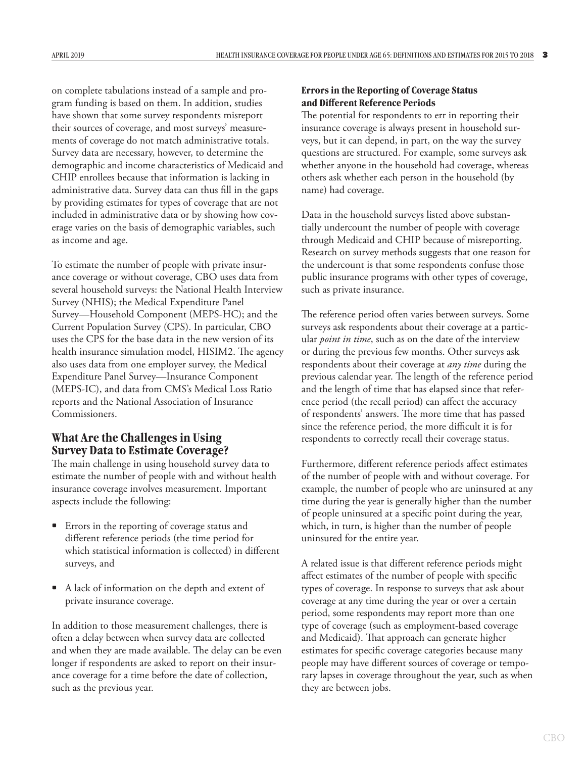on complete tabulations instead of a sample and program funding is based on them. In addition, studies have shown that some survey respondents misreport their sources of coverage, and most surveys' measurements of coverage do not match administrative totals. Survey data are necessary, however, to determine the demographic and income characteristics of Medicaid and CHIP enrollees because that information is lacking in administrative data. Survey data can thus fill in the gaps by providing estimates for types of coverage that are not included in administrative data or by showing how coverage varies on the basis of demographic variables, such as income and age.

To estimate the number of people with private insurance coverage or without coverage, CBO uses data from several household surveys: the National Health Interview Survey (NHIS); the Medical Expenditure Panel Survey—Household Component (MEPS-HC); and the Current Population Survey (CPS). In particular, CBO uses the CPS for the base data in the new version of its health insurance simulation model, HISIM2. The agency also uses data from one employer survey, the Medical Expenditure Panel Survey—Insurance Component (MEPS-IC), and data from CMS's Medical Loss Ratio reports and the National Association of Insurance Commissioners.

#### **What Are the Challenges in Using Survey Data to Estimate Coverage?**

The main challenge in using household survey data to estimate the number of people with and without health insurance coverage involves measurement. Important aspects include the following:

- Errors in the reporting of coverage status and different reference periods (the time period for which statistical information is collected) in different surveys, and
- A lack of information on the depth and extent of private insurance coverage.

In addition to those measurement challenges, there is often a delay between when survey data are collected and when they are made available. The delay can be even longer if respondents are asked to report on their insurance coverage for a time before the date of collection, such as the previous year.

#### **Errors in the Reporting of Coverage Status and Different Reference Periods**

The potential for respondents to err in reporting their insurance coverage is always present in household surveys, but it can depend, in part, on the way the survey questions are structured. For example, some surveys ask whether anyone in the household had coverage, whereas others ask whether each person in the household (by name) had coverage.

Data in the household surveys listed above substantially undercount the number of people with coverage through Medicaid and CHIP because of misreporting. Research on survey methods suggests that one reason for the undercount is that some respondents confuse those public insurance programs with other types of coverage, such as private insurance.

The reference period often varies between surveys. Some surveys ask respondents about their coverage at a particular *point in time*, such as on the date of the interview or during the previous few months. Other surveys ask respondents about their coverage at *any time* during the previous calendar year. The length of the reference period and the length of time that has elapsed since that reference period (the recall period) can affect the accuracy of respondents' answers. The more time that has passed since the reference period, the more difficult it is for respondents to correctly recall their coverage status.

Furthermore, different reference periods affect estimates of the number of people with and without coverage. For example, the number of people who are uninsured at any time during the year is generally higher than the number of people uninsured at a specific point during the year, which, in turn, is higher than the number of people uninsured for the entire year.

A related issue is that different reference periods might affect estimates of the number of people with specific types of coverage. In response to surveys that ask about coverage at any time during the year or over a certain period, some respondents may report more than one type of coverage (such as employment-based coverage and Medicaid). That approach can generate higher estimates for specific coverage categories because many people may have different sources of coverage or temporary lapses in coverage throughout the year, such as when they are between jobs.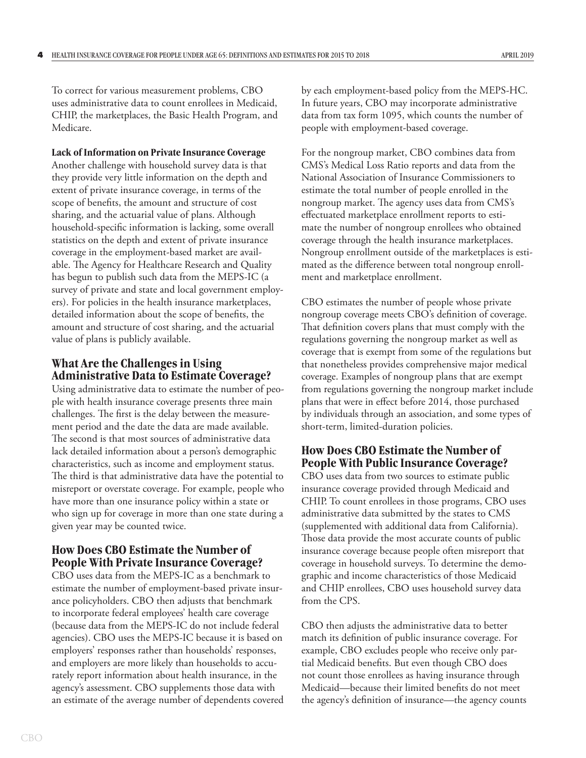To correct for various measurement problems, CBO uses administrative data to count enrollees in Medicaid, CHIP, the marketplaces, the Basic Health Program, and Medicare.

#### **Lack of Information on Private Insurance Coverage**

Another challenge with household survey data is that they provide very little information on the depth and extent of private insurance coverage, in terms of the scope of benefits, the amount and structure of cost sharing, and the actuarial value of plans. Although household-specific information is lacking, some overall statistics on the depth and extent of private insurance coverage in the employment-based market are available. The Agency for Healthcare Research and Quality has begun to publish such data from the MEPS-IC (a survey of private and state and local government employers). For policies in the health insurance marketplaces, detailed information about the scope of benefits, the amount and structure of cost sharing, and the actuarial value of plans is publicly available.

# **What Are the Challenges in Using Administrative Data to Estimate Coverage?**

Using administrative data to estimate the number of people with health insurance coverage presents three main challenges. The first is the delay between the measurement period and the date the data are made available. The second is that most sources of administrative data lack detailed information about a person's demographic characteristics, such as income and employment status. The third is that administrative data have the potential to misreport or overstate coverage. For example, people who have more than one insurance policy within a state or who sign up for coverage in more than one state during a given year may be counted twice.

#### **How Does CBO Estimate the Number of People With Private Insurance Coverage?**

CBO uses data from the MEPS-IC as a benchmark to estimate the number of employment-based private insurance policyholders. CBO then adjusts that benchmark to incorporate federal employees' health care coverage (because data from the MEPS-IC do not include federal agencies). CBO uses the MEPS-IC because it is based on employers' responses rather than households' responses, and employers are more likely than households to accurately report information about health insurance, in the agency's assessment. CBO supplements those data with an estimate of the average number of dependents covered by each employment-based policy from the MEPS-HC. In future years, CBO may incorporate administrative data from tax form 1095, which counts the number of people with employment-based coverage.

For the nongroup market, CBO combines data from CMS's Medical Loss Ratio reports and data from the National Association of Insurance Commissioners to estimate the total number of people enrolled in the nongroup market. The agency uses data from CMS's effectuated marketplace enrollment reports to estimate the number of nongroup enrollees who obtained coverage through the health insurance marketplaces. Nongroup enrollment outside of the marketplaces is estimated as the difference between total nongroup enrollment and marketplace enrollment.

CBO estimates the number of people whose private nongroup coverage meets CBO's definition of coverage. That definition covers plans that must comply with the regulations governing the nongroup market as well as coverage that is exempt from some of the regulations but that nonetheless provides comprehensive major medical coverage. Examples of nongroup plans that are exempt from regulations governing the nongroup market include plans that were in effect before 2014, those purchased by individuals through an association, and some types of short-term, limited-duration policies.

# **How Does CBO Estimate the Number of People With Public Insurance Coverage?**

CBO uses data from two sources to estimate public insurance coverage provided through Medicaid and CHIP. To count enrollees in those programs, CBO uses administrative data submitted by the states to CMS (supplemented with additional data from California). Those data provide the most accurate counts of public insurance coverage because people often misreport that coverage in household surveys. To determine the demographic and income characteristics of those Medicaid and CHIP enrollees, CBO uses household survey data from the CPS.

CBO then adjusts the administrative data to better match its definition of public insurance coverage. For example, CBO excludes people who receive only partial Medicaid benefits. But even though CBO does not count those enrollees as having insurance through Medicaid—because their limited benefits do not meet the agency's definition of insurance—the agency counts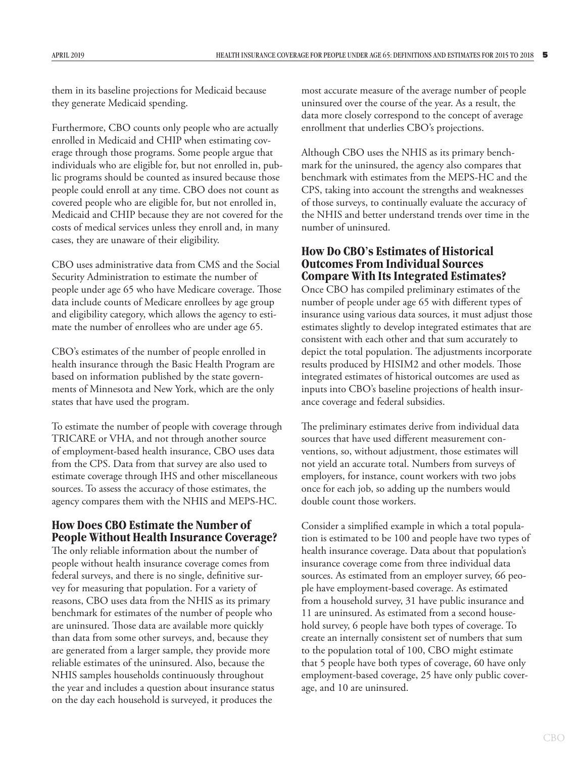them in its baseline projections for Medicaid because they generate Medicaid spending.

Furthermore, CBO counts only people who are actually enrolled in Medicaid and CHIP when estimating coverage through those programs. Some people argue that individuals who are eligible for, but not enrolled in, public programs should be counted as insured because those people could enroll at any time. CBO does not count as covered people who are eligible for, but not enrolled in, Medicaid and CHIP because they are not covered for the costs of medical services unless they enroll and, in many cases, they are unaware of their eligibility.

CBO uses administrative data from CMS and the Social Security Administration to estimate the number of people under age 65 who have Medicare coverage. Those data include counts of Medicare enrollees by age group and eligibility category, which allows the agency to estimate the number of enrollees who are under age 65.

CBO's estimates of the number of people enrolled in health insurance through the Basic Health Program are based on information published by the state governments of Minnesota and New York, which are the only states that have used the program.

To estimate the number of people with coverage through TRICARE or VHA, and not through another source of employment-based health insurance, CBO uses data from the CPS. Data from that survey are also used to estimate coverage through IHS and other miscellaneous sources. To assess the accuracy of those estimates, the agency compares them with the NHIS and MEPS-HC.

# **How Does CBO Estimate the Number of People Without Health Insurance Coverage?**

The only reliable information about the number of people without health insurance coverage comes from federal surveys, and there is no single, definitive survey for measuring that population. For a variety of reasons, CBO uses data from the NHIS as its primary benchmark for estimates of the number of people who are uninsured. Those data are available more quickly than data from some other surveys, and, because they are generated from a larger sample, they provide more reliable estimates of the uninsured. Also, because the NHIS samples households continuously throughout the year and includes a question about insurance status on the day each household is surveyed, it produces the

most accurate measure of the average number of people uninsured over the course of the year. As a result, the data more closely correspond to the concept of average enrollment that underlies CBO's projections.

Although CBO uses the NHIS as its primary benchmark for the uninsured, the agency also compares that benchmark with estimates from the MEPS-HC and the CPS, taking into account the strengths and weaknesses of those surveys, to continually evaluate the accuracy of the NHIS and better understand trends over time in the number of uninsured.

#### **How Do CBO's Estimates of Historical Outcomes From Individual Sources Compare With Its Integrated Estimates?**

Once CBO has compiled preliminary estimates of the number of people under age 65 with different types of insurance using various data sources, it must adjust those estimates slightly to develop integrated estimates that are consistent with each other and that sum accurately to depict the total population. The adjustments incorporate results produced by HISIM2 and other models. Those integrated estimates of historical outcomes are used as inputs into CBO's baseline projections of health insurance coverage and federal subsidies.

The preliminary estimates derive from individual data sources that have used different measurement conventions, so, without adjustment, those estimates will not yield an accurate total. Numbers from surveys of employers, for instance, count workers with two jobs once for each job, so adding up the numbers would double count those workers.

Consider a simplified example in which a total population is estimated to be 100 and people have two types of health insurance coverage. Data about that population's insurance coverage come from three individual data sources. As estimated from an employer survey, 66 people have employment-based coverage. As estimated from a household survey, 31 have public insurance and 11 are uninsured. As estimated from a second household survey, 6 people have both types of coverage. To create an internally consistent set of numbers that sum to the population total of 100, CBO might estimate that 5 people have both types of coverage, 60 have only employment-based coverage, 25 have only public coverage, and 10 are uninsured.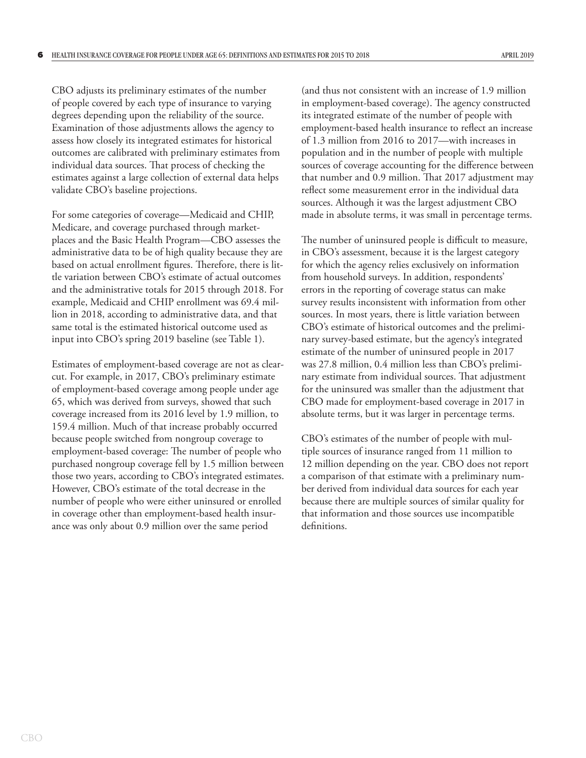CBO adjusts its preliminary estimates of the number of people covered by each type of insurance to varying degrees depending upon the reliability of the source. Examination of those adjustments allows the agency to assess how closely its integrated estimates for historical outcomes are calibrated with preliminary estimates from individual data sources. That process of checking the estimates against a large collection of external data helps validate CBO's baseline projections.

For some categories of coverage—Medicaid and CHIP, Medicare, and coverage purchased through marketplaces and the Basic Health Program—CBO assesses the administrative data to be of high quality because they are based on actual enrollment figures. Therefore, there is little variation between CBO's estimate of actual outcomes and the administrative totals for 2015 through 2018. For example, Medicaid and CHIP enrollment was 69.4 million in 2018, according to administrative data, and that same total is the estimated historical outcome used as input into CBO's spring 2019 baseline (see [Table 1](#page-6-0)).

Estimates of employment-based coverage are not as clearcut. For example, in 2017, CBO's preliminary estimate of employment-based coverage among people under age 65, which was derived from surveys, showed that such coverage increased from its 2016 level by 1.9 million, to 159.4 million. Much of that increase probably occurred because people switched from nongroup coverage to employment-based coverage: The number of people who purchased nongroup coverage fell by 1.5 million between those two years, according to CBO's integrated estimates. However, CBO's estimate of the total decrease in the number of people who were either uninsured or enrolled in coverage other than employment-based health insurance was only about 0.9 million over the same period

(and thus not consistent with an increase of 1.9 million in employment-based coverage). The agency constructed its integrated estimate of the number of people with employment-based health insurance to reflect an increase of 1.3 million from 2016 to 2017—with increases in population and in the number of people with multiple sources of coverage accounting for the difference between that number and 0.9 million. That 2017 adjustment may reflect some measurement error in the individual data sources. Although it was the largest adjustment CBO made in absolute terms, it was small in percentage terms.

The number of uninsured people is difficult to measure, in CBO's assessment, because it is the largest category for which the agency relies exclusively on information from household surveys. In addition, respondents' errors in the reporting of coverage status can make survey results inconsistent with information from other sources. In most years, there is little variation between CBO's estimate of historical outcomes and the preliminary survey-based estimate, but the agency's integrated estimate of the number of uninsured people in 2017 was 27.8 million, 0.4 million less than CBO's preliminary estimate from individual sources. That adjustment for the uninsured was smaller than the adjustment that CBO made for employment-based coverage in 2017 in absolute terms, but it was larger in percentage terms.

CBO's estimates of the number of people with multiple sources of insurance ranged from 11 million to 12 million depending on the year. CBO does not report a comparison of that estimate with a preliminary number derived from individual data sources for each year because there are multiple sources of similar quality for that information and those sources use incompatible definitions.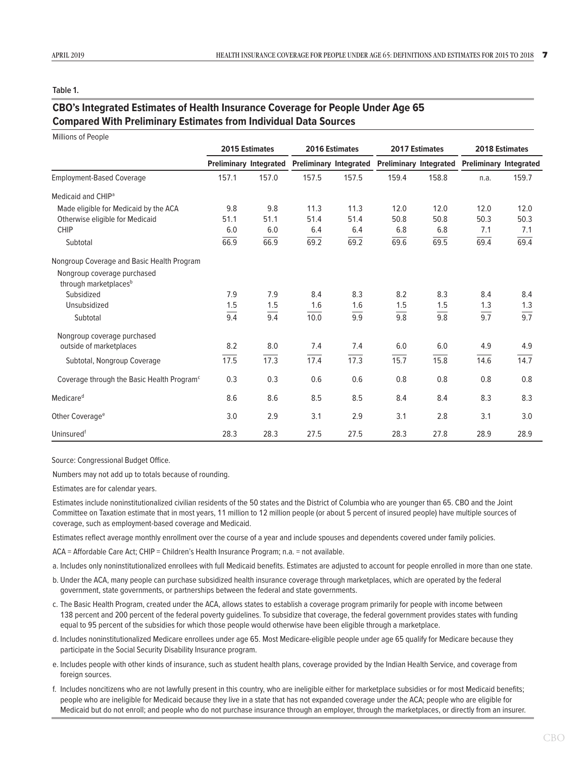<span id="page-6-0"></span>**Table 1.**

#### **CBO's Integrated Estimates of Health Insurance Coverage for People Under Age 65 Compared With Preliminary Estimates from Individual Data Sources**

| Millions of People                                               |                |                               |                               |       |                |       |                                               |       |
|------------------------------------------------------------------|----------------|-------------------------------|-------------------------------|-------|----------------|-------|-----------------------------------------------|-------|
|                                                                  | 2015 Estimates |                               | 2016 Estimates                |       | 2017 Estimates |       | 2018 Estimates                                |       |
|                                                                  |                | <b>Preliminary Integrated</b> | <b>Preliminary Integrated</b> |       |                |       | Preliminary Integrated Preliminary Integrated |       |
| <b>Employment-Based Coverage</b>                                 | 157.1          | 157.0                         | 157.5                         | 157.5 | 159.4          | 158.8 | n.a.                                          | 159.7 |
| Medicaid and CHIP <sup>a</sup>                                   |                |                               |                               |       |                |       |                                               |       |
| Made eligible for Medicaid by the ACA                            | 9.8            | 9.8                           | 11.3                          | 11.3  | 12.0           | 12.0  | 12.0                                          | 12.0  |
| Otherwise eligible for Medicaid                                  | 51.1           | 51.1                          | 51.4                          | 51.4  | 50.8           | 50.8  | 50.3                                          | 50.3  |
| <b>CHIP</b>                                                      | 6.0            | 6.0                           | 6.4                           | 6.4   | 6.8            | 6.8   | 7.1                                           | 7.1   |
| Subtotal                                                         | 66.9           | 66.9                          | 69.2                          | 69.2  | 69.6           | 69.5  | 69.4                                          | 69.4  |
| Nongroup Coverage and Basic Health Program                       |                |                               |                               |       |                |       |                                               |       |
| Nongroup coverage purchased<br>through marketplaces <sup>b</sup> |                |                               |                               |       |                |       |                                               |       |
| Subsidized                                                       | 7.9            | 7.9                           | 8.4                           | 8.3   | 8.2            | 8.3   | 8.4                                           | 8.4   |
| Unsubsidized                                                     | 1.5            | 1.5                           | 1.6                           | 1.6   | 1.5            | 1.5   | 1.3                                           | 1.3   |
| Subtotal                                                         | 9.4            | $\overline{9.4}$              | 10.0                          | 9.9   | 9.8            | 9.8   | 9.7                                           | 9.7   |
| Nongroup coverage purchased                                      |                |                               |                               |       |                |       |                                               |       |
| outside of marketplaces                                          | 8.2            | 8.0                           | 7.4                           | 7.4   | 6.0            | 6.0   | 4.9                                           | 4.9   |
| Subtotal, Nongroup Coverage                                      | 17.5           | 17.3                          | 17.4                          | 17.3  | 15.7           | 15.8  | 14.6                                          | 14.7  |
| Coverage through the Basic Health Program <sup>c</sup>           | 0.3            | 0.3                           | 0.6                           | 0.6   | 0.8            | 0.8   | 0.8                                           | 0.8   |
| Medicare <sup>d</sup>                                            | 8.6            | 8.6                           | 8.5                           | 8.5   | 8.4            | 8.4   | 8.3                                           | 8.3   |
| Other Coverage <sup>e</sup>                                      | 3.0            | 2.9                           | 3.1                           | 2.9   | 3.1            | 2.8   | 3.1                                           | 3.0   |
| Uninsured <sup>f</sup>                                           | 28.3           | 28.3                          | 27.5                          | 27.5  | 28.3           | 27.8  | 28.9                                          | 28.9  |

Source: Congressional Budget Office.

Numbers may not add up to totals because of rounding.

Estimates are for calendar years.

Estimates include noninstitutionalized civilian residents of the 50 states and the District of Columbia who are younger than 65. CBO and the Joint Committee on Taxation estimate that in most years, 11 million to 12 million people (or about 5 percent of insured people) have multiple sources of coverage, such as employment-based coverage and Medicaid.

Estimates reflect average monthly enrollment over the course of a year and include spouses and dependents covered under family policies.

ACA = Affordable Care Act; CHIP = Children's Health Insurance Program; n.a. = not available.

a. Includes only noninstitutionalized enrollees with full Medicaid benefits. Estimates are adjusted to account for people enrolled in more than one state.

- b. Under the ACA, many people can purchase subsidized health insurance coverage through marketplaces, which are operated by the federal government, state governments, or partnerships between the federal and state governments.
- c. The Basic Health Program, created under the ACA, allows states to establish a coverage program primarily for people with income between 138 percent and 200 percent of the federal poverty guidelines. To subsidize that coverage, the federal government provides states with funding equal to 95 percent of the subsidies for which those people would otherwise have been eligible through a marketplace.
- d. Includes noninstitutionalized Medicare enrollees under age 65. Most Medicare-eligible people under age 65 qualify for Medicare because they participate in the Social Security Disability Insurance program.
- e. Includes people with other kinds of insurance, such as student health plans, coverage provided by the Indian Health Service, and coverage from foreign sources.
- f. Includes noncitizens who are not lawfully present in this country, who are ineligible either for marketplace subsidies or for most Medicaid benefits; people who are ineligible for Medicaid because they live in a state that has not expanded coverage under the ACA; people who are eligible for Medicaid but do not enroll; and people who do not purchase insurance through an employer, through the marketplaces, or directly from an insurer.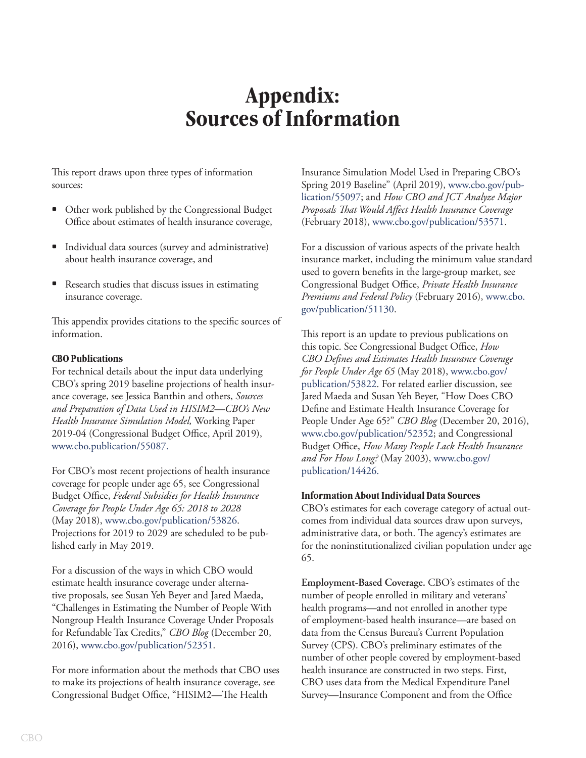# **Appendix: Sources of Information**

This report draws upon three types of information sources:

- Other work published by the Congressional Budget Office about estimates of health insurance coverage,
- Individual data sources (survey and administrative) about health insurance coverage, and
- Research studies that discuss issues in estimating insurance coverage.

This appendix provides citations to the specific sources of information.

#### **CBO Publications**

For technical details about the input data underlying CBO's spring 2019 baseline projections of health insurance coverage, see Jessica Banthin and others, *Sources and Preparation of Data Used in HISIM2—CBO's New Health Insurance Simulation Model,* Working Paper 2019-04 (Congressional Budget Office, April 2019), [www.cbo.publication/](http://www.cbo.publication/55087)55087.

For CBO's most recent projections of health insurance coverage for people under age 65, see Congressional Budget Office, *Federal Subsidies for Health Insurance Coverage for People Under Age 65: 2018 to 2028*  (May 2018), [www.cbo.gov/publication/53826.](https://www.cbo.gov/publication/53826) Projections for 2019 to 2029 are scheduled to be published early in May 2019.

For a discussion of the ways in which CBO would estimate health insurance coverage under alternative proposals, see Susan Yeh Beyer and Jared Maeda, "Challenges in Estimating the Number of People With Nongroup Health Insurance Coverage Under Proposals for Refundable Tax Credits," *CBO Blog* (December 20, 2016), [www.cbo.gov/publication/52351.](https://www.cbo.gov/publication/52351)

For more information about the methods that CBO uses to make its projections of health insurance coverage, see Congressional Budget Office, "HISIM2—The Health

<span id="page-7-0"></span>Insurance Simulation Model Used in Preparing CBO's Spring 2019 Baseline" (April 2019), [www.cbo.gov/pub](http://www.cbo.gov/publication/55097)[lication/55097](http://www.cbo.gov/publication/55097); and *How CBO and JCT Analyze Major Proposals That Would Affect Health Insurance Coverage* (February 2018), [www.cbo.gov/publication/53571](https://www.cbo.gov/publication/53571).

For a discussion of various aspects of the private health insurance market, including the minimum value standard used to govern benefits in the large-group market, see Congressional Budget Office, *Private Health Insurance Premiums and Federal Policy* (February 2016), [www.cbo.](https://www.cbo.gov/publication/51130) [gov/publication/51130.](https://www.cbo.gov/publication/51130)

This report is an update to previous publications on this topic. See Congressional Budget Office, *How CBO Defines and Estimates Health Insurance Coverage for People Under Age 65* (May 2018), [www.cbo.gov/](https://www.cbo.gov/publication/53822) [publication/53822.](https://www.cbo.gov/publication/53822) For related earlier discussion, see Jared Maeda and Susan Yeh Beyer, "How Does CBO Define and Estimate Health Insurance Coverage for People Under Age 65?" *CBO Blog* (December 20, 2016), [www.cbo.gov/publication/52352;](http://www.cbo.gov/publication/52352) and Congressional Budget Office, *How Many People Lack Health Insurance and For How Long?* (May 2003), [www.cbo.gov/](https://www.cbo.gov/publication/14426) [publication/14426.](https://www.cbo.gov/publication/14426)

#### **Information About Individual Data Sources**

CBO's estimates for each coverage category of actual outcomes from individual data sources draw upon surveys, administrative data, or both. The agency's estimates are for the noninstitutionalized civilian population under age 65.

**Employment-Based Coverage.** CBO's estimates of the number of people enrolled in military and veterans' health programs—and not enrolled in another type of employment-based health insurance—are based on data from the Census Bureau's Current Population Survey (CPS). CBO's preliminary estimates of the number of other people covered by employment-based health insurance are constructed in two steps. First, CBO uses data from the Medical Expenditure Panel Survey—Insurance Component and from the Office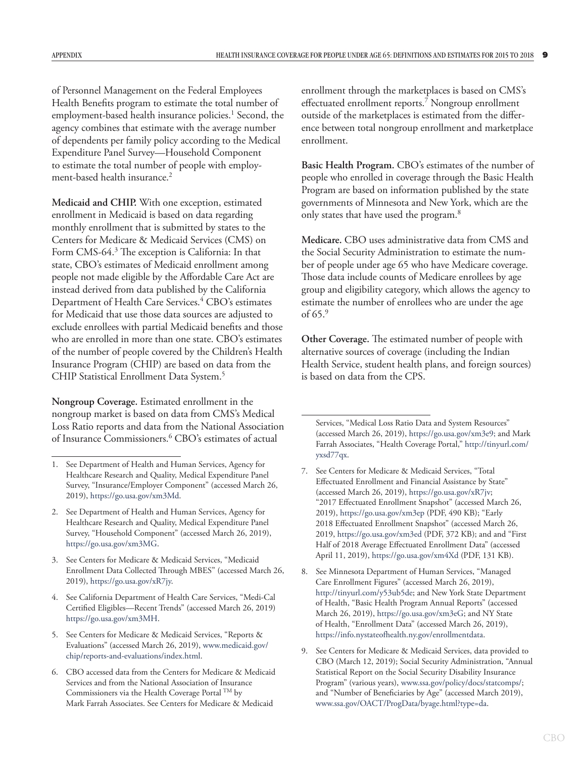of Personnel Management on the Federal Employees Health Benefits program to estimate the total number of employment-based health insurance policies.<sup>1</sup> Second, the agency combines that estimate with the average number of dependents per family policy according to the Medical Expenditure Panel Survey—Household Component to estimate the total number of people with employment-based health insurance.<sup>2</sup>

**Medicaid and CHIP.** With one exception, estimated enrollment in Medicaid is based on data regarding monthly enrollment that is submitted by states to the Centers for Medicare & Medicaid Services (CMS) on Form CMS-64.3 The exception is California: In that state, CBO's estimates of Medicaid enrollment among people not made eligible by the Affordable Care Act are instead derived from data published by the California Department of Health Care Services.<sup>4</sup> CBO's estimates for Medicaid that use those data sources are adjusted to exclude enrollees with partial Medicaid benefits and those who are enrolled in more than one state. CBO's estimates of the number of people covered by the Children's Health Insurance Program (CHIP) are based on data from the CHIP Statistical Enrollment Data System.5

**Nongroup Coverage.** Estimated enrollment in the nongroup market is based on data from CMS's Medical Loss Ratio reports and data from the National Association of Insurance Commissioners.<sup>6</sup> CBO's estimates of actual

- 3. See Centers for Medicare & Medicaid Services, "Medicaid Enrollment Data Collected Through MBES" (accessed March 26, 2019), [https://go.usa.gov/xR7jy.](https://go.usa.gov/xR7jy)
- 4. See California Department of Health Care Services, "Medi-Cal Certified Eligibles—Recent Trends" (accessed March 26, 2019) [https://go.usa.gov/xm3MH.](https://go.usa.gov/xm3MH)
- 5. See Centers for Medicare & Medicaid Services, "Reports & Evaluations" (accessed March 26, 2019), [www.medicaid.gov/](http://www.medicaid.gov/chip/reports-and-evaluations/index.html) [chip/reports-and-evaluations/index.html](http://www.medicaid.gov/chip/reports-and-evaluations/index.html).
- 6. CBO accessed data from the Centers for Medicare & Medicaid Services and from the National Association of Insurance Commissioners via the Health Coverage Portal TM by Mark Farrah Associates. See Centers for Medicare & Medicaid

enrollment through the marketplaces is based on CMS's effectuated enrollment reports.7 Nongroup enrollment outside of the marketplaces is estimated from the difference between total nongroup enrollment and marketplace enrollment.

Basic Health Program. CBO's estimates of the number of people who enrolled in coverage through the Basic Health Program are based on information published by the state governments of Minnesota and New York, which are the only states that have used the program.8

**Medicare.** CBO uses administrative data from CMS and the Social Security Administration to estimate the number of people under age 65 who have Medicare coverage. Those data include counts of Medicare enrollees by age group and eligibility category, which allows the agency to estimate the number of enrollees who are under the age of  $65.9$ 

**Other Coverage.** The estimated number of people with alternative sources of coverage (including the Indian Health Service, student health plans, and foreign sources) is based on data from the CPS.

Services, "Medical Loss Ratio Data and System Resources" (accessed March 26, 2019), [https://go.usa.gov/xm3e9;](https://go.usa.gov/xm3e9) and Mark Farrah Associates, "Health Coverage Portal," [http://tinyurl.com/](http://tinyurl.com/yxsd77qx) [yxsd77qx.](http://tinyurl.com/yxsd77qx)

- 7. See Centers for Medicare & Medicaid Services, "Total Effectuated Enrollment and Financial Assistance by State" (accessed March 26, 2019), [https://go.usa.gov/xR7jv;](https://go.usa.gov/xR7jv) "2017 Effectuated Enrollment Snapshot" (accessed March 26, 2019), [https://go.usa.gov/xm3ep](https://go.usa.gov/xm3ep%20) (PDF, 490 KB); "Early 2018 Effectuated Enrollment Snapshot" (accessed March 26, 2019,<https://go.usa.gov/xm3ed>(PDF, 372 KB); and and "First Half of 2018 Average Effectuated Enrollment Data" (accessed April 11, 2019), <https://go.usa.gov/xm4Xd> (PDF, 131 KB).
- 8. See Minnesota Department of Human Services, "Managed Care Enrollment Figures" (accessed March 26, 2019), <http://tinyurl.com/y53ub5de>; and New York State Department of Health, "Basic Health Program Annual Reports" (accessed March 26, 2019), [https://go.usa.gov/xm3eG;](https://go.usa.gov/xm3eG) and NY State of Health, "Enrollment Data" (accessed March 26, 2019), [https://info.nystateofhealth.ny.gov/enrollmentdata.](https://info.nystateofhealth.ny.gov/enrollmentdata)
- 9. See Centers for Medicare & Medicaid Services, data provided to CBO (March 12, 2019); Social Security Administration, "Annual Statistical Report on the Social Security Disability Insurance Program" (various years), [www.ssa.gov/policy/docs/statcomps/](https://www.ssa.gov/policy/docs/statcomps/); and "Number of Beneficiaries by Age" (accessed March 2019), [www.ssa.gov/OACT/ProgData/byage.html?type=da.](http://www.ssa.gov/OACT/ProgData/byage.html?type=da)

<sup>1.</sup> See Department of Health and Human Services, Agency for Healthcare Research and Quality, Medical Expenditure Panel Survey, "Insurance/Employer Component" (accessed March 26, 2019),<https://go.usa.gov/xm3Md>.

<sup>2.</sup> See Department of Health and Human Services, Agency for Healthcare Research and Quality, Medical Expenditure Panel Survey, "Household Component" (accessed March 26, 2019), <https://go.usa.gov/xm3MG>.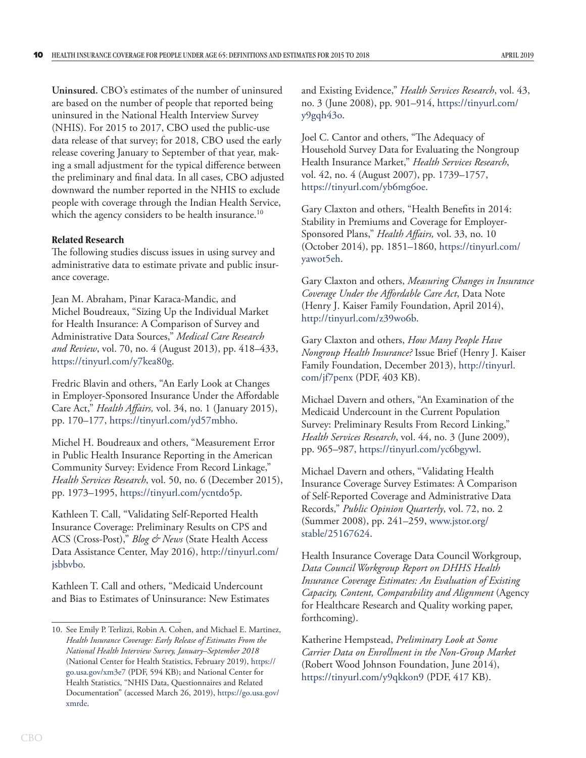**Uninsured.** CBO's estimates of the number of uninsured are based on the number of people that reported being uninsured in the National Health Interview Survey (NHIS). For 2015 to 2017, CBO used the public-use data release of that survey; for 2018, CBO used the early release covering January to September of that year, making a small adjustment for the typical difference between the preliminary and final data. In all cases, CBO adjusted downward the number reported in the NHIS to exclude people with coverage through the Indian Health Service, which the agency considers to be health insurance.<sup>10</sup>

#### **Related Research**

The following studies discuss issues in using survey and administrative data to estimate private and public insurance coverage.

Jean M. Abraham, Pinar Karaca-Mandic, and Michel Boudreaux, "Sizing Up the Individual Market for Health Insurance: A Comparison of Survey and Administrative Data Sources," *Medical Care Research and Review*, vol. 70, no. 4 (August 2013), pp. 418–433, <https://tinyurl.com/y7kea80g>.

Fredric Blavin and others, "An Early Look at Changes in Employer-Sponsored Insurance Under the Affordable Care Act," *Health Affairs,* vol. 34, no. 1 (January 2015), pp. 170–177, [https://tinyurl.com/yd57mbho.](https://tinyurl.com/yd57mbho)

Michel H. Boudreaux and others, "Measurement Error in Public Health Insurance Reporting in the American Community Survey: Evidence From Record Linkage," *Health Services Research*, vol. 50, no. 6 (December 2015), pp. 1973–1995, [https://tinyurl.com/ycntdo5p.](https://tinyurl.com/ycntdo5p)

Kathleen T. Call, "Validating Self-Reported Health Insurance Coverage: Preliminary Results on CPS and ACS (Cross-Post)," *Blog & News* (State Health Access Data Assistance Center, May 2016), [http://tinyurl.com/](http://tinyurl.com/jsbbvbo) [jsbbvbo.](http://tinyurl.com/jsbbvbo)

Kathleen T. Call and others, "Medicaid Undercount and Bias to Estimates of Uninsurance: New Estimates and Existing Evidence," *Health Services Research*, vol. 43, no. 3 (June 2008), pp. 901–914, [https://tinyurl.com/](https://tinyurl.com/y9gqh43o) [y9gqh43o.](https://tinyurl.com/y9gqh43o)

Joel C. Cantor and others, "The Adequacy of Household Survey Data for Evaluating the Nongroup Health Insurance Market," *Health Services Research*, vol. 42, no. 4 (August 2007), pp. 1739–1757, [https://tinyurl.com/yb6mg6oe.](https://tinyurl.com/yb6mg6oe)

Gary Claxton and others, "Health Benefits in 2014: Stability in Premiums and Coverage for Employer-Sponsored Plans," *Health Affairs,* vol. 33, no. 10 (October 2014), pp. 1851–1860, [https://tinyurl.com/](https://tinyurl.com/yawot5eh) [yawot5eh.](https://tinyurl.com/yawot5eh)

Gary Claxton and others, *Measuring Changes in Insurance Coverage Under the Affordable Care Act*, Data Note (Henry J. Kaiser Family Foundation, April 2014), <http://tinyurl.com/z39wo6b>.

Gary Claxton and others, *How Many People Have Nongroup Health Insurance?* Issue Brief (Henry J. Kaiser Family Foundation, December 2013), [http://tinyurl.](http://tinyurl.com/jf7penx%20) [com/jf7penx](http://tinyurl.com/jf7penx%20) (PDF, 403 KB).

Michael Davern and others, "An Examination of the Medicaid Undercount in the Current Population Survey: Preliminary Results From Record Linking," *Health Services Research*, vol. 44, no. 3 (June 2009), pp. 965–987,<https://tinyurl.com/yc6bgywl>.

Michael Davern and others, "Validating Health Insurance Coverage Survey Estimates: A Comparison of Self-Reported Coverage and Administrative Data Records," *Public Opinion Quarterly*, vol. 72, no. 2 (Summer 2008), pp. 241–259, [www.jstor.org/](https://www.jstor.org/stable/25167624) [stable/25167624.](https://www.jstor.org/stable/25167624)

Health Insurance Coverage Data Council Workgroup, *Data Council Workgroup Report on DHHS Health Insurance Coverage Estimates: An Evaluation of Existing Capacity, Content, Comparability and Alignment* (Agency for Healthcare Research and Quality working paper, forthcoming).

Katherine Hempstead, *Preliminary Look at Some Carrier Data on Enrollment in the Non-Group Market* (Robert Wood Johnson Foundation, June 2014), [https://tinyurl.com/y9qkkon9](https://tinyurl.com/y9qkkon9%20) (PDF, 417 KB).

<sup>10.</sup> See Emily P. Terlizzi, Robin A. Cohen, and Michael E. Martinez, *Health Insurance Coverage: Early Release of Estimates From the National Health Interview Survey, January–September 2018*  (National Center for Health Statistics, February 2019), [https://](https://go.usa.gov/xm3e7%20) [go.usa.gov/xm3e7](https://go.usa.gov/xm3e7%20) (PDF, 594 KB); and National Center for Health Statistics, "NHIS Data, Questionnaires and Related Documentation" (accessed March 26, 2019), [https://go.usa.gov/](https://go.usa.gov/xmrde) [xmrde.](https://go.usa.gov/xmrde)